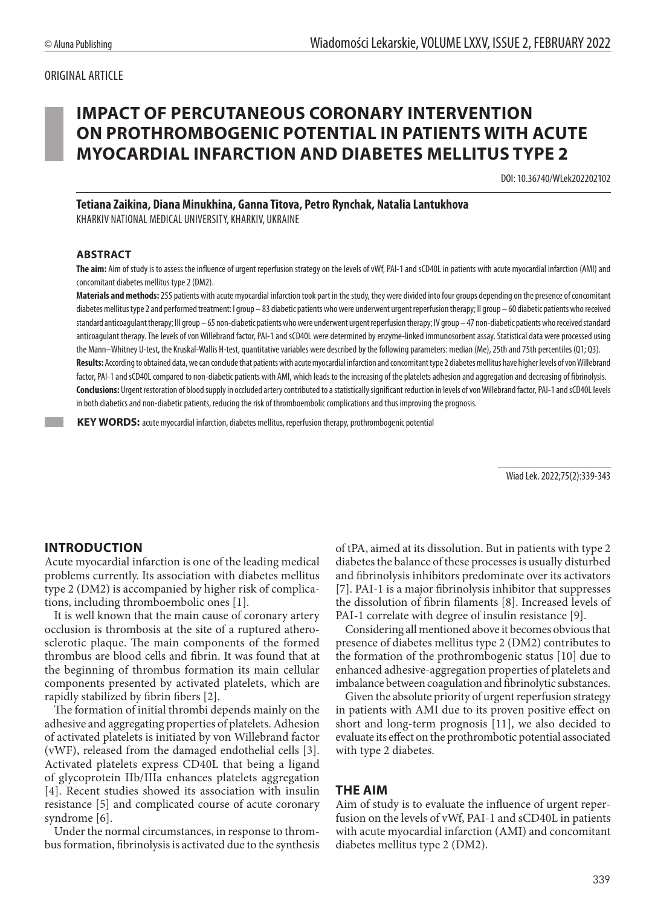### ORIGINAL ARTICLE

# **IMPACT OF PERCUTANEOUS CORONARY INTERVENTION ON PROTHROMBOGENIC POTENTIAL IN PATIENTS WITH ACUTE MYOCARDIAL INFARCTION AND DIABETES MELLITUS TYPE 2**

DOI: 10.36740/WLek202202102

**Tetiana Zaikina, Diana Minukhina, Ganna Titova, Petro Rynchak, Natalia Lantukhova** KHARKIV NATIONAL MEDICAL UNIVERSITY, KHARKIV, UKRAINE

#### **ABSTRACT**

**The aim:** Aim of study is to assess the influence of urgent reperfusion strategy on the levels of vWf, PAI-1 and sCD40L in patients with acute myocardial infarction (AMI) and concomitant diabetes mellitus type 2 (DM2).

**Materials and methods:** 255 patients with acute myocardial infarction took part in the study, they were divided into four groups depending on the presence of concomitant diabetes mellitus type 2 and performed treatment: I group – 83 diabetic patients who were underwent urgent reperfusion therapy; II group – 60 diabetic patients who received standard anticoagulant therapy; III group – 65 non-diabetic patients who were underwent urgent reperfusion therapy; IV group – 47 non-diabetic patients who received standard anticoagulant therapy. The levels of von Willebrand factor, PAI-1 and sCD40L were determined by enzyme-linked immunosorbent assay. Statistical data were processed using the Mann–Whitney U-test, the Kruskal-Wallis H-test, quantitative variables were described by the following parameters: median (Me), 25th and 75th percentiles (Q1; Q3). Results: According to obtained data, we can conclude that patients with acute myocardial infarction and concomitant type 2 diabetes mellitus have higher levels of von Willebrand factor, PAI-1 and sCD40L compared to non-diabetic patients with AMI, which leads to the increasing of the platelets adhesion and aggregation and decreasing of fibrinolysis. **Conclusions:** Urgent restoration of blood supply in occluded artery contributed to a statistically significant reduction in levels of von Willebrand factor, PAI-1 and sCD40L levels in both diabetics and non-diabetic patients, reducing the risk of thromboembolic complications and thus improving the prognosis.

 **KEY WORDS:** acute myocardial infarction, diabetes mellitus, reperfusion therapy, prothrombogenic potential

Wiad Lek. 2022;75(2):339-343

#### **INTRODUCTION**

Acute myocardial infarction is one of the leading medical problems currently. Its association with diabetes mellitus type 2 (DM2) is accompanied by higher risk of complications, including thromboembolic ones [1].

It is well known that the main cause of coronary artery occlusion is thrombosis at the site of a ruptured atherosclerotic plaque. The main components of the formed thrombus are blood cells and fibrin. It was found that at the beginning of thrombus formation its main cellular components presented by activated platelets, which are rapidly stabilized by fibrin fibers [2].

The formation of initial thrombi depends mainly on the adhesive and aggregating properties of platelets. Adhesion of activated platelets is initiated by von Willebrand factor (vWF), released from the damaged endothelial cells [3]. Activated platelets express CD40L that being a ligand of glycoprotein IIb/IIIa enhances platelets aggregation [4]. Recent studies showed its association with insulin resistance [5] and complicated course of acute coronary syndrome [6].

Under the normal circumstances, in response to thrombus formation, fibrinolysis is activated due to the synthesis of tPA, aimed at its dissolution. But in patients with type 2 diabetes the balance of these processes is usually disturbed and fibrinolysis inhibitors predominate over its activators [7]. PAI-1 is a major fibrinolysis inhibitor that suppresses the dissolution of fibrin filaments [8]. Increased levels of PAI-1 correlate with degree of insulin resistance [9].

Considering all mentioned above it becomes obvious that presence of diabetes mellitus type 2 (DM2) contributes to the formation of the prothrombogenic status [10] due to enhanced adhesive-aggregation properties of platelets and imbalance between coagulation and fibrinolytic substances.

Given the absolute priority of urgent reperfusion strategy in patients with AMI due to its proven positive effect on short and long-term prognosis [11], we also decided to evaluate its effect on the prothrombotic potential associated with type 2 diabetes.

#### **THE AIM**

Aim of study is to evaluate the influence of urgent reperfusion on the levels of vWf, PAI-1 and sCD40L in patients with acute myocardial infarction (AMI) and concomitant diabetes mellitus type 2 (DM2).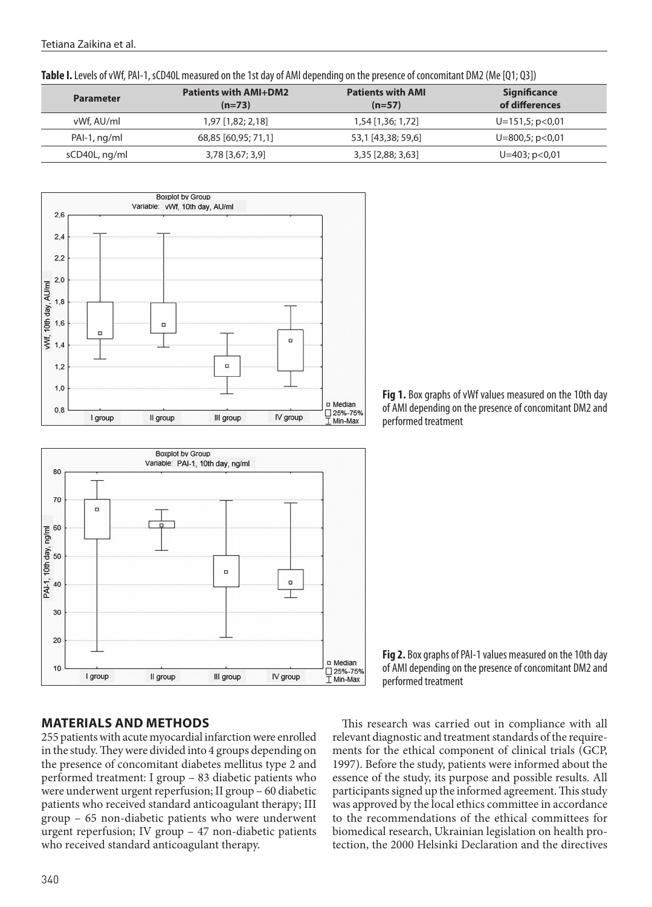Tetiana Zaikina et al.

**Table I.** Levels of vWf, PAI-1, sCD40L measured on the 1st day of AMI depending on the presence of concomitant DM2 (Me [Q1; Q3])

| <b>Parameter</b> | <b>Patients with AMI+DM2</b><br>$(n=73)$ | <b>Patients with AMI</b><br>$(n=57)$ | <b>Significance</b><br>of differences |
|------------------|------------------------------------------|--------------------------------------|---------------------------------------|
| vWf. AU/ml       | $1,97$ [1,82; 2,18]                      | 1,54 [1,36; 1,72]                    | $U=151,5; p<0.01$                     |
| PAI-1, ng/ml     | 68,85 [60,95; 71,1]                      | 53,1 [43,38; 59,6]                   | $U=800,5; p<0.01$                     |
| sCD40L, ng/ml    | 3,78 [3,67; 3,9]                         | 3,35 [2,88; 3,63]                    | $U=403; p<0.01$                       |





**Fig 1.** Box graphs of vWf values measured on the 10th day of AMI depending on the presence of concomitant DM2 and performed treatment

**Fig 2.** Box graphs of PAI-1 values measured on the 10th day of AMI depending on the presence of concomitant DM2 and performed treatment

### **MATERIALS AND METHODS**

255 patients with acute myocardial infarction were enrolled in the study. They were divided into 4 groups depending on the presence of concomitant diabetes mellitus type 2 and performed treatment: I group – 83 diabetic patients who were underwent urgent reperfusion; II group – 60 diabetic patients who received standard anticoagulant therapy; III group – 65 non-diabetic patients who were underwent urgent reperfusion; IV group – 47 non-diabetic patients who received standard anticoagulant therapy.

This research was carried out in compliance with all relevant diagnostic and treatment standards of the requirements for the ethical component of clinical trials (GCP, 1997). Before the study, patients were informed about the essence of the study, its purpose and possible results. All participants signed up the informed agreement. This study was approved by the local ethics committee in accordance to the recommendations of the ethical committees for biomedical research, Ukrainian legislation on health protection, the 2000 Helsinki Declaration and the directives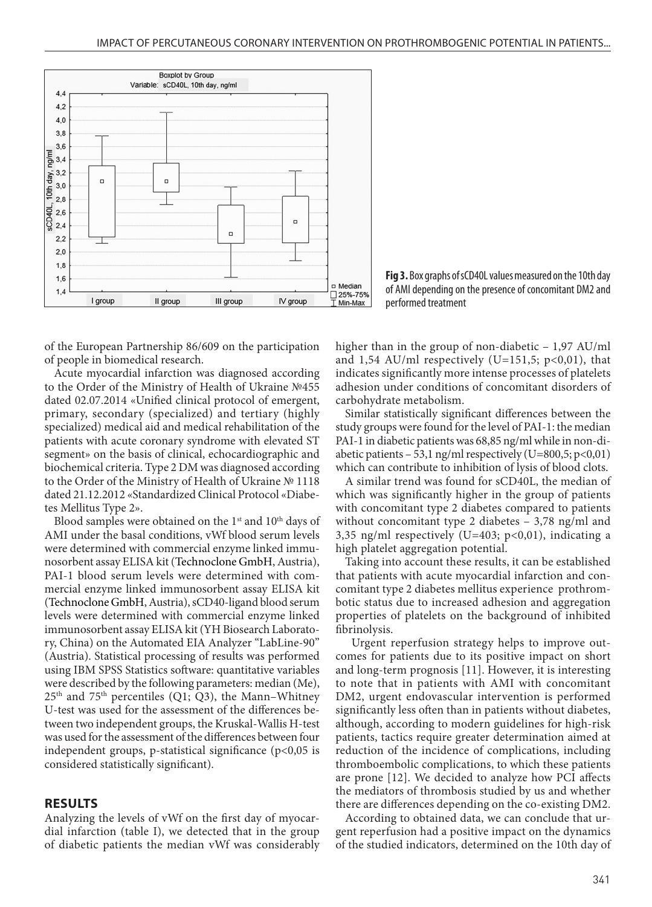

**Fig 3.** Box graphs of sCD40L values measured on the 10th day of AMI depending on the presence of concomitant DM2 and performed treatment

of the European Partnership 86/609 on the participation of people in biomedical research.

Acute myocardial infarction was diagnosed according to the Order of the Ministry of Health of Ukraine №455 dated 02.07.2014 «Unified clinical protocol of emergent, primary, secondary (specialized) and tertiary (highly specialized) medical aid and medical rehabilitation of the patients with acute coronary syndrome with elevated ST segment» on the basis of clinical, echocardiographic and biochemical criteria. Type 2 DM was diagnosed according to the Order of the Ministry of Health of Ukraine № 1118 dated 21.12.2012 «Standardized Clinical Protocol «Diabetes Mellitus Type 2».

Blood samples were obtained on the 1<sup>st</sup> and 10<sup>th</sup> days of AMI under the basal conditions, vWf blood serum levels were determined with commercial enzyme linked immunosorbent assay ELISA kit (Technoclone GmbH, Austria), PAI-1 blood serum levels were determined with commercial enzyme linked immunosorbent assay ELISA kit (Technoclone GmbH, Austria), sCD40-ligand blood serum levels were determined with commercial enzyme linked immunosorbent assay ELISA kit (YH Biosearch Laboratory, China) on the Automated EIA Analyzer "LabLine-90" (Austria). Statistical processing of results was performed using IBM SPSS Statistics software: quantitative variables were described by the following parameters: median (Me),  $25<sup>th</sup>$  and  $75<sup>th</sup>$  percentiles (Q1; Q3), the Mann–Whitney U-test was used for the assessment of the differences between two independent groups, the Kruskal-Wallis H-test was used for the assessment of the differences between four independent groups, р-statistical significance (p<0,05 is considered statistically significant).

#### **RESULTS**

Analyzing the levels of vWf on the first day of myocardial infarction (table I), we detected that in the group of diabetic patients the median vWf was considerably higher than in the group of non-diabetic – 1,97 AU/ml and 1,54 AU/ml respectively (U=151,5;  $p<0,01$ ), that indicates significantly more intense processes of platelets adhesion under conditions of concomitant disorders of carbohydrate metabolism.

Similar statistically significant differences between the study groups were found for the level of PAI-1: the median PAI-1 in diabetic patients was 68,85 ng/ml while in non-diabetic patients  $-53$ , 1 ng/ml respectively (U=800,5; p<0,01) which can contribute to inhibition of lysis of blood clots.

A similar trend was found for sCD40L, the median of which was significantly higher in the group of patients with concomitant type 2 diabetes compared to patients without concomitant type 2 diabetes – 3,78 ng/ml and 3,35 ng/ml respectively (U=403; p<0,01), indicating a high platelet aggregation potential.

Taking into account these results, it can be established that patients with acute myocardial infarction and concomitant type 2 diabetes mellitus experience prothrombotic status due to increased adhesion and aggregation properties of platelets on the background of inhibited fibrinolysis.

Urgent reperfusion strategy helps to improve outcomes for patients due to its positive impact on short and long-term prognosis [11]. However, it is interesting to note that in patients with AMI with concomitant DM2, urgent endovascular intervention is performed significantly less often than in patients without diabetes, although, according to modern guidelines for high-risk patients, tactics require greater determination aimed at reduction of the incidence of complications, including thromboembolic complications, to which these patients are prone [12]. We decided to analyze how PCI affects the mediators of thrombosis studied by us and whether there are differences depending on the co-existing DM2.

According to obtained data, we can conclude that urgent reperfusion had a positive impact on the dynamics of the studied indicators, determined on the 10th day of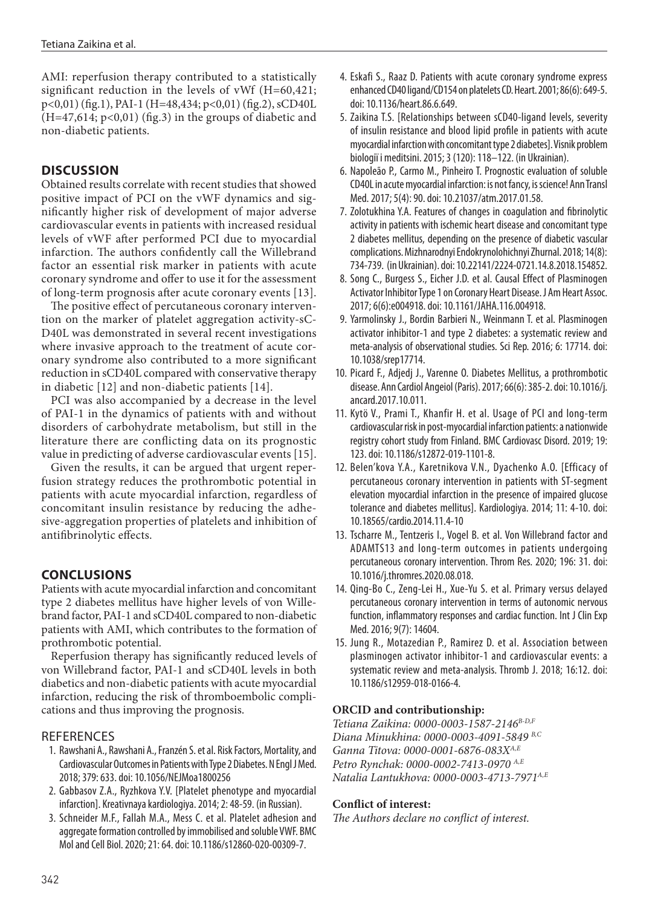AMI: reperfusion therapy contributed to a statistically significant reduction in the levels of vWf (H=60,421; p<0,01) (fig.1), PAI-1 (H=48,434; p<0,01) (fig.2), sCD40L  $(H=47,614; p<0,01)$  (fig.3) in the groups of diabetic and non-diabetic patients.

## **DISCUSSION**

Obtained results correlate with recent studies that showed positive impact of PCI on the vWF dynamics and significantly higher risk of development of major adverse cardiovascular events in patients with increased residual levels of vWF after performed PCI due to myocardial infarction. The authors confidently call the Willebrand factor an essential risk marker in patients with acute coronary syndrome and offer to use it for the assessment of long-term prognosis after acute coronary events [13].

The positive effect of percutaneous coronary intervention on the marker of platelet aggregation activity-sC-D40L was demonstrated in several recent investigations where invasive approach to the treatment of acute coronary syndrome also contributed to a more significant reduction in sCD40L compared with conservative therapy in diabetic [12] and non-diabetic patients [14].

PCI was also accompanied by a decrease in the level of PAI-1 in the dynamics of patients with and without disorders of carbohydrate metabolism, but still in the literature there are conflicting data on its prognostic value in predicting of adverse cardiovascular events [15].

Given the results, it can be argued that urgent reperfusion strategy reduces the prothrombotic potential in patients with acute myocardial infarction, regardless of concomitant insulin resistance by reducing the adhesive-aggregation properties of platelets and inhibition of antifibrinolytic effects.

# **CONCLUSIONS**

Patients with acute myocardial infarction and concomitant type 2 diabetes mellitus have higher levels of von Willebrand factor, PAI-1 and sCD40L compared to non-diabetic patients with AMI, which contributes to the formation of prothrombotic potential.

Reperfusion therapy has significantly reduced levels of von Willebrand factor, PAI-1 and sCD40L levels in both diabetics and non-diabetic patients with acute myocardial infarction, reducing the risk of thromboembolic complications and thus improving the prognosis.

### **REFERENCES**

- 1. Rawshani A., Rawshani A., Franzén S. et al. Risk Factors, Mortality, and Cardiovascular Outcomes in Patients with Type 2 Diabetes. N Engl J Med. 2018; 379: 633. doi: 10.1056/NEJMoa1800256
- 2. Gabbasov Z.A., Ryzhkova Y.V. [Platelet phenotype and myocardial infarction]. Kreativnaya kardiologiya. 2014; 2: 48-59. (in Russian).
- 3. Schneider M.F., Fallah M.A., Mess C. et al. Platelet adhesion and aggregate formation controlled by immobilised and soluble VWF. BMC Mol and Cell Biol. 2020; 21: 64. doi: 10.1186/s12860-020-00309-7.
- 4. Eskafi S., Raaz D. Patients with acute coronary syndrome express enhanced CD40 ligand/CD154 on platelets CD. Heart. 2001; 86(6): 649-5. doi: 10.1136/heart.86.6.649.
- 5. Zaikina T.S. [Relationships between sCD40-ligand levels, severity of insulin resistance and blood lipid profile in patients with acute myocardial infarction with concomitant type 2 diabetes]. Vіsnik problem bіologії і meditsini. 2015; 3 (120): 118–122. (in Ukrainian).
- 6. Napoleão P., Carmo M., Pinheiro T. Prognostic evaluation of soluble CD40L in acute myocardial infarction: is not fancy, is science! Ann Transl Med. 2017; 5(4): 90. doi: 10.21037/atm.2017.01.58.
- 7. Zolotukhina Y.A. Features of changes in coagulation and fibrinolytic activity in patients with ischemic heart disease and concomitant type 2 diabetes mellitus, depending on the presence of diabetic vascular complications. Mizhnarodnyi Endokrynolohichnyi Zhurnal. 2018; 14(8): 734-739. (in Ukrainian). doi: 10.22141/2224-0721.14.8.2018.154852.
- 8. Song C., Burgess S., Eicher J.D. et al. Causal Effect of Plasminogen Activator Inhibitor Type 1 on Coronary Heart Disease. J Am Heart Assoc. 2017; 6(6):e004918. doi: 10.1161/JAHA.116.004918.
- 9. Yarmolinsky J., Bordin Barbieri N., Weinmann T. et al. Plasminogen activator inhibitor-1 and type 2 diabetes: a systematic review and meta-analysis of observational studies. Sci Rep. 2016; 6: 17714. doi: 10.1038/srep17714.
- 10. Picard F., Adjedj J., Varenne O. Diabetes Mellitus, a prothrombotic disease. Ann Cardiol Angeiol (Paris). 2017; 66(6): 385-2. doi: 10.1016/j. ancard.2017.10.011.
- 11. Kytö V., Prami T., Khanfir H. et al. Usage of PCI and long-term cardiovascular risk in post-myocardial infarction patients: a nationwide registry cohort study from Finland. BMC Cardiovasc Disord. 2019; 19: 123. doi: 10.1186/s12872-019-1101-8.
- 12. Belen'kova Y.A., Karetnikova V.N., Dyachenko A.O. [Efficacy of percutaneous coronary intervention in patients with ST-segment elevation myocardial infarction in the presence of impaired glucose tolerance and diabetes mellitus]. Kardiologiya. 2014; 11: 4-10. doi: 10.18565/cardio.2014.11.4-10
- 13. Tscharre M., Tentzeris I., Vogel B. et al. Von Willebrand factor and ADAMTS13 and long-term outcomes in patients undergoing percutaneous coronary intervention. Throm Res. 2020; 196: 31. doi: 10.1016/j.thromres.2020.08.018.
- 14. Qing-Bo C., Zeng-Lei H., Xue-Yu S. et al. Primary versus delayed percutaneous coronary intervention in terms of autonomic nervous function, inflammatory responses and cardiac function. Int J Clin Exp Med. 2016; 9(7): 14604.
- 15. Jung R., Motazedian P., Ramirez D. et al. Association between plasminogen activator inhibitor-1 and cardiovascular events: a systematic review and meta-analysis. Thromb J. 2018; 16:12. doi: 10.1186/s12959-018-0166-4.

### **ORCID and contributionship:**

*Tetiana Zaikina: 0000-0003-1587-2146B-D,F Diana Minukhina: 0000-0003-4091-5849 B,C Ganna Titova: 0000-0001-6876-083XA,E Petro Rynchak: 0000-0002-7413-0970 A,E Natalia Lantukhova: 0000-0003-4713-7971A,E*

### **Conflict of interest:**

*The Authors declare no conflict of interest.*